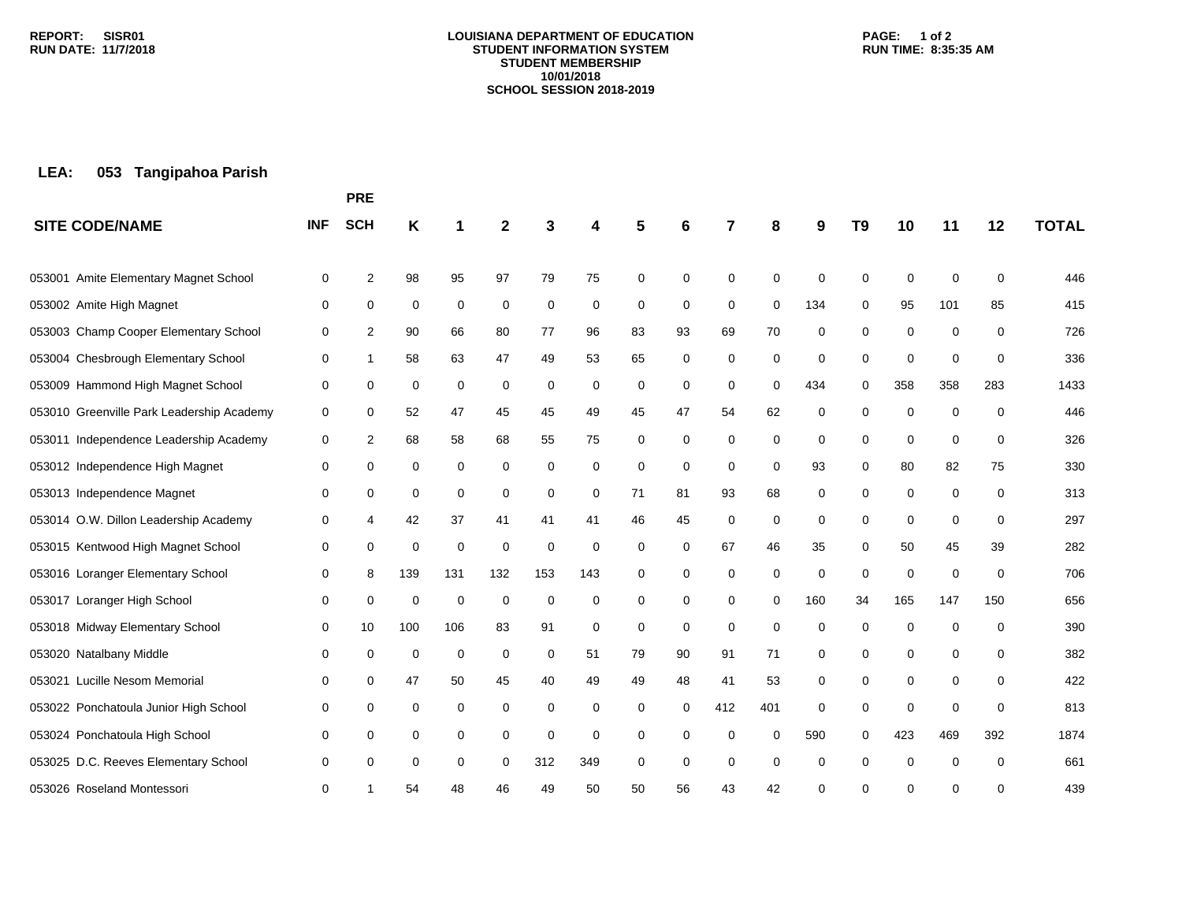### **LOUISIANA DEPARTMENT OF EDUCATION STUDENT INFORMATION SYSTEM STUDENT MEMBERSHIP 10/01/2018 SCHOOL SESSION 2018-2019**

### **PAGE: 1 of 2 RUN TIME: 8:35:35 AM**

# **LEA: 053 Tangipahoa Parish**

|                                           |            | <b>PRE</b>     |             |             |              |     |     |          |             |             |             |             |                |             |             |          |              |
|-------------------------------------------|------------|----------------|-------------|-------------|--------------|-----|-----|----------|-------------|-------------|-------------|-------------|----------------|-------------|-------------|----------|--------------|
| <b>SITE CODE/NAME</b>                     | <b>INF</b> | <b>SCH</b>     | Κ           | 1           | $\mathbf{2}$ | 3   | 4   | 5        | 6           | 7           | 8           | 9           | T <sub>9</sub> | 10          | 11          | 12       | <b>TOTAL</b> |
| Amite Elementary Magnet School<br>053001  | 0          | $\overline{2}$ | 98          | 95          | 97           | 79  | 75  | 0        | $\mathbf 0$ | 0           | 0           | $\mathbf 0$ | $\mathbf 0$    | $\mathbf 0$ | $\mathbf 0$ | 0        | 446          |
| 053002 Amite High Magnet                  | 0          | 0              | 0           | 0           | 0            | 0   | 0   | 0        | 0           | 0           | $\mathbf 0$ | 134         | 0              | 95          | 101         | 85       | 415          |
| 053003 Champ Cooper Elementary School     | 0          | 2              | 90          | 66          | 80           | 77  | 96  | 83       | 93          | 69          | 70          | 0           | 0              | 0           | 0           | 0        | 726          |
| 053004 Chesbrough Elementary School       | 0          | 1              | 58          | 63          | 47           | 49  | 53  | 65       | 0           | 0           | 0           | 0           | 0              | $\mathbf 0$ | $\mathbf 0$ | 0        | 336          |
| 053009 Hammond High Magnet School         | 0          | 0              | 0           | 0           | 0            | 0   | 0   | 0        | 0           | $\mathbf 0$ | $\Omega$    | 434         | $\Omega$       | 358         | 358         | 283      | 1433         |
| 053010 Greenville Park Leadership Academy | 0          | 0              | 52          | 47          | 45           | 45  | 49  | 45       | 47          | 54          | 62          | 0           | 0              | 0           | 0           | 0        | 446          |
| 053011 Independence Leadership Academy    | 0          | 2              | 68          | 58          | 68           | 55  | 75  | 0        | 0           | 0           | 0           | 0           | 0              | 0           | $\mathbf 0$ | 0        | 326          |
| 053012 Independence High Magnet           | 0          | 0              | 0           | 0           | 0            | 0   | 0   | 0        | 0           | 0           | 0           | 93          | 0              | 80          | 82          | 75       | 330          |
| 053013 Independence Magnet                | 0          | 0              | 0           | 0           | 0            | 0   | 0   | 71       | 81          | 93          | 68          | 0           | 0              | 0           | 0           | 0        | 313          |
| 053014 O.W. Dillon Leadership Academy     | 0          | 4              | 42          | 37          | 41           | 41  | 41  | 46       | 45          | 0           | 0           | 0           | 0              | 0           | 0           | 0        | 297          |
| 053015 Kentwood High Magnet School        | 0          | 0              | 0           | 0           | 0            | 0   | 0   | 0        | 0           | 67          | 46          | 35          | 0              | 50          | 45          | 39       | 282          |
| 053016 Loranger Elementary School         | 0          | 8              | 139         | 131         | 132          | 153 | 143 | 0        | 0           | 0           | 0           | 0           | $\mathbf 0$    | 0           | 0           | 0        | 706          |
| 053017 Loranger High School               | 0          | 0              | $\mathbf 0$ | 0           | $\mathbf 0$  | 0   | 0   | 0        | 0           | 0           | 0           | 160         | 34             | 165         | 147         | 150      | 656          |
| 053018 Midway Elementary School           | 0          | 10             | 100         | 106         | 83           | 91  | 0   | 0        | 0           | 0           | $\mathbf 0$ | 0           | 0              | 0           | $\mathbf 0$ | 0        | 390          |
| 053020 Natalbany Middle                   | 0          | $\mathbf 0$    | $\mathbf 0$ | $\mathbf 0$ | $\mathbf 0$  | 0   | 51  | 79       | 90          | 91          | 71          | 0           | 0              | 0           | 0           | 0        | 382          |
| 053021 Lucille Nesom Memorial             | 0          | 0              | 47          | 50          | 45           | 40  | 49  | 49       | 48          | 41          | 53          | 0           | 0              | 0           | 0           | 0        | 422          |
| 053022 Ponchatoula Junior High School     | 0          | 0              | 0           | 0           | 0            | 0   | 0   | $\Omega$ | 0           | 412         | 401         | 0           | $\Omega$       | $\mathbf 0$ | $\mathbf 0$ | 0        | 813          |
| 053024 Ponchatoula High School            | 0          | 0              | 0           | 0           | 0            | 0   | 0   | 0        | 0           | $\Omega$    | $\Omega$    | 590         | $\Omega$       | 423         | 469         | 392      | 1874         |
| 053025 D.C. Reeves Elementary School      | 0          | $\mathbf 0$    | 0           | 0           | 0            | 312 | 349 | 0        | 0           | $\mathbf 0$ | 0           | 0           | 0              | 0           | $\mathbf 0$ | $\Omega$ | 661          |
| 053026 Roseland Montessori                | 0          | 1              | 54          | 48          | 46           | 49  | 50  | 50       | 56          | 43          | 42          | 0           | $\Omega$       | ∩           | $\Omega$    | 0        | 439          |